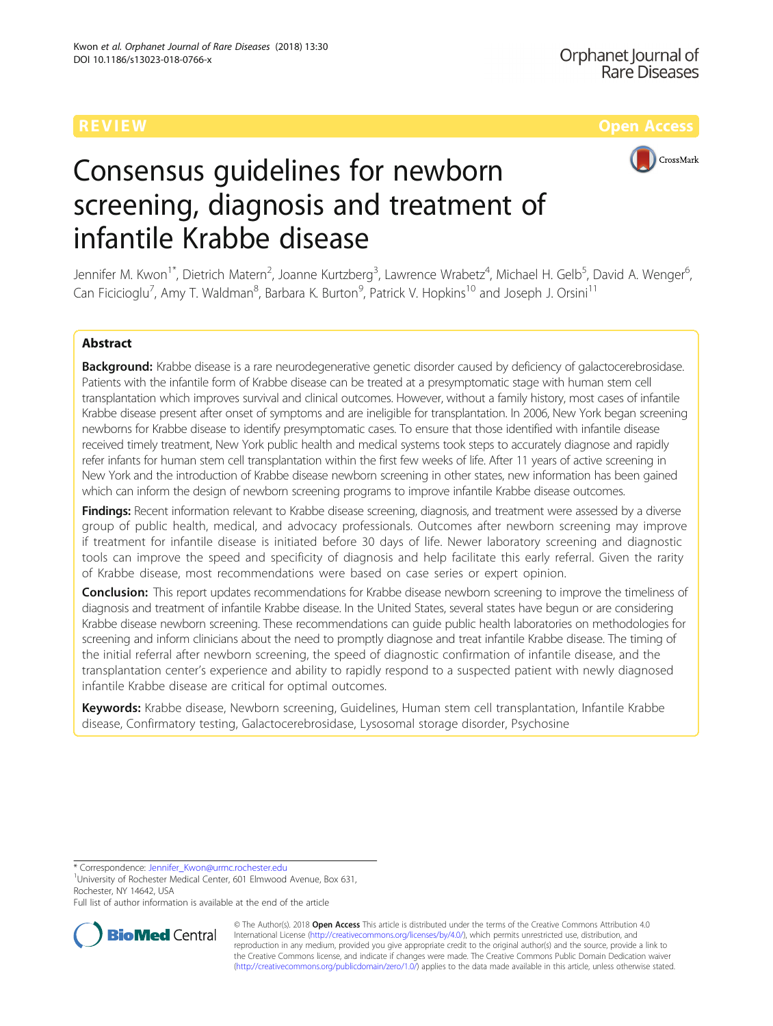

# Consensus guidelines for newborn screening, diagnosis and treatment of infantile Krabbe disease

Jennifer M. Kwon<sup>1\*</sup>, Dietrich Matern<sup>2</sup>, Joanne Kurtzberg<sup>3</sup>, Lawrence Wrabetz<sup>4</sup>, Michael H. Gelb<sup>5</sup>, David A. Wenger<sup>6</sup> י<br>, Can Ficicioglu<sup>7</sup>, Amy T. Waldman<sup>8</sup>, Barbara K. Burton<sup>9</sup>, Patrick V. Hopkins<sup>10</sup> and Joseph J. Orsini<sup>11</sup>

# Abstract

Background: Krabbe disease is a rare neurodegenerative genetic disorder caused by deficiency of galactocerebrosidase. Patients with the infantile form of Krabbe disease can be treated at a presymptomatic stage with human stem cell transplantation which improves survival and clinical outcomes. However, without a family history, most cases of infantile Krabbe disease present after onset of symptoms and are ineligible for transplantation. In 2006, New York began screening newborns for Krabbe disease to identify presymptomatic cases. To ensure that those identified with infantile disease received timely treatment, New York public health and medical systems took steps to accurately diagnose and rapidly refer infants for human stem cell transplantation within the first few weeks of life. After 11 years of active screening in New York and the introduction of Krabbe disease newborn screening in other states, new information has been gained which can inform the design of newborn screening programs to improve infantile Krabbe disease outcomes.

Findings: Recent information relevant to Krabbe disease screening, diagnosis, and treatment were assessed by a diverse group of public health, medical, and advocacy professionals. Outcomes after newborn screening may improve if treatment for infantile disease is initiated before 30 days of life. Newer laboratory screening and diagnostic tools can improve the speed and specificity of diagnosis and help facilitate this early referral. Given the rarity of Krabbe disease, most recommendations were based on case series or expert opinion.

Conclusion: This report updates recommendations for Krabbe disease newborn screening to improve the timeliness of diagnosis and treatment of infantile Krabbe disease. In the United States, several states have begun or are considering Krabbe disease newborn screening. These recommendations can guide public health laboratories on methodologies for screening and inform clinicians about the need to promptly diagnose and treat infantile Krabbe disease. The timing of the initial referral after newborn screening, the speed of diagnostic confirmation of infantile disease, and the transplantation center's experience and ability to rapidly respond to a suspected patient with newly diagnosed infantile Krabbe disease are critical for optimal outcomes.

Keywords: Krabbe disease, Newborn screening, Guidelines, Human stem cell transplantation, Infantile Krabbe disease, Confirmatory testing, Galactocerebrosidase, Lysosomal storage disorder, Psychosine

\* Correspondence: [Jennifer\\_Kwon@urmc.rochester.edu](mailto:Jennifer_Kwon@urmc.rochester.edu) <sup>1</sup>

<sup>1</sup>University of Rochester Medical Center, 601 Elmwood Avenue, Box 631, Rochester, NY 14642, USA

Full list of author information is available at the end of the article



© The Author(s). 2018 Open Access This article is distributed under the terms of the Creative Commons Attribution 4.0 International License [\(http://creativecommons.org/licenses/by/4.0/](http://creativecommons.org/licenses/by/4.0/)), which permits unrestricted use, distribution, and reproduction in any medium, provided you give appropriate credit to the original author(s) and the source, provide a link to the Creative Commons license, and indicate if changes were made. The Creative Commons Public Domain Dedication waiver [\(http://creativecommons.org/publicdomain/zero/1.0/](http://creativecommons.org/publicdomain/zero/1.0/)) applies to the data made available in this article, unless otherwise stated.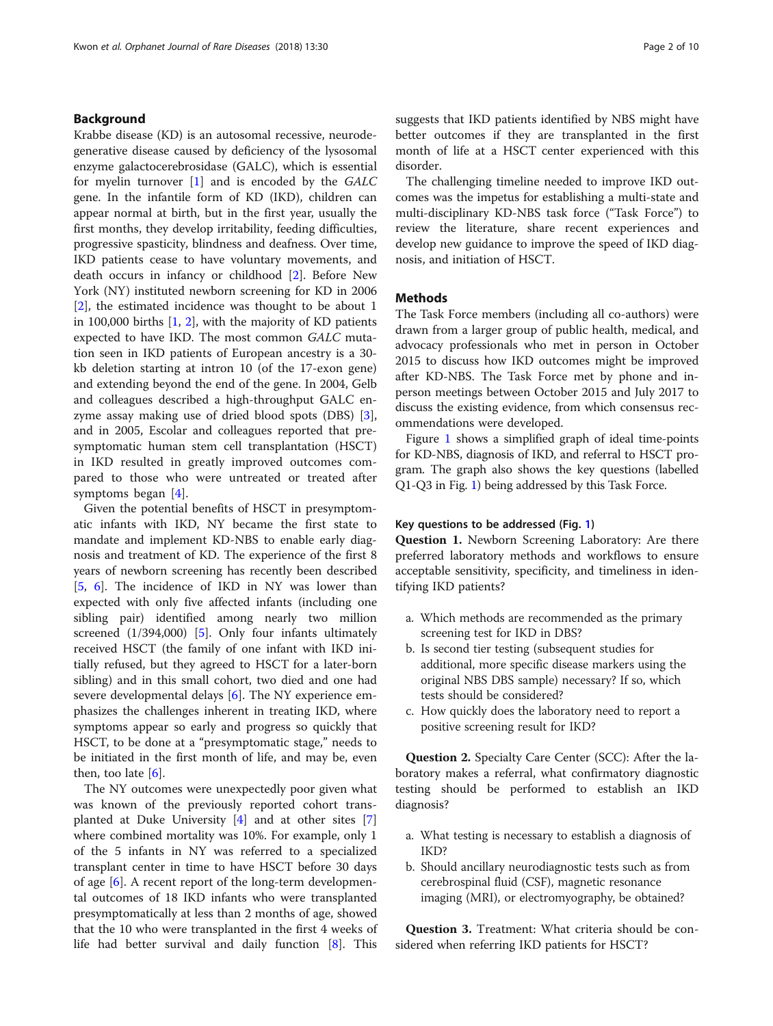# Background

Krabbe disease (KD) is an autosomal recessive, neurodegenerative disease caused by deficiency of the lysosomal enzyme galactocerebrosidase (GALC), which is essential for myelin turnover [\[1](#page-8-0)] and is encoded by the GALC gene. In the infantile form of KD (IKD), children can appear normal at birth, but in the first year, usually the first months, they develop irritability, feeding difficulties, progressive spasticity, blindness and deafness. Over time, IKD patients cease to have voluntary movements, and death occurs in infancy or childhood [[2](#page-8-0)]. Before New York (NY) instituted newborn screening for KD in 2006 [[2\]](#page-8-0), the estimated incidence was thought to be about 1 in 100,000 births [[1](#page-8-0), [2\]](#page-8-0), with the majority of KD patients expected to have IKD. The most common GALC mutation seen in IKD patients of European ancestry is a 30 kb deletion starting at intron 10 (of the 17-exon gene) and extending beyond the end of the gene. In 2004, Gelb and colleagues described a high-throughput GALC enzyme assay making use of dried blood spots (DBS) [\[3](#page-8-0)], and in 2005, Escolar and colleagues reported that presymptomatic human stem cell transplantation (HSCT) in IKD resulted in greatly improved outcomes compared to those who were untreated or treated after symptoms began [[4\]](#page-8-0).

Given the potential benefits of HSCT in presymptomatic infants with IKD, NY became the first state to mandate and implement KD-NBS to enable early diagnosis and treatment of KD. The experience of the first 8 years of newborn screening has recently been described [[5,](#page-8-0) [6](#page-8-0)]. The incidence of IKD in NY was lower than expected with only five affected infants (including one sibling pair) identified among nearly two million screened (1/394,000) [[5\]](#page-8-0). Only four infants ultimately received HSCT (the family of one infant with IKD initially refused, but they agreed to HSCT for a later-born sibling) and in this small cohort, two died and one had severe developmental delays [[6](#page-8-0)]. The NY experience emphasizes the challenges inherent in treating IKD, where symptoms appear so early and progress so quickly that HSCT, to be done at a "presymptomatic stage," needs to be initiated in the first month of life, and may be, even then, too late  $[6]$ .

The NY outcomes were unexpectedly poor given what was known of the previously reported cohort transplanted at Duke University [[4](#page-8-0)] and at other sites [\[7](#page-8-0)] where combined mortality was 10%. For example, only 1 of the 5 infants in NY was referred to a specialized transplant center in time to have HSCT before 30 days of age [\[6](#page-8-0)]. A recent report of the long-term developmental outcomes of 18 IKD infants who were transplanted presymptomatically at less than 2 months of age, showed that the 10 who were transplanted in the first 4 weeks of life had better survival and daily function [[8\]](#page-8-0). This suggests that IKD patients identified by NBS might have better outcomes if they are transplanted in the first month of life at a HSCT center experienced with this disorder.

The challenging timeline needed to improve IKD outcomes was the impetus for establishing a multi-state and multi-disciplinary KD-NBS task force ("Task Force") to review the literature, share recent experiences and develop new guidance to improve the speed of IKD diagnosis, and initiation of HSCT.

# Methods

The Task Force members (including all co-authors) were drawn from a larger group of public health, medical, and advocacy professionals who met in person in October 2015 to discuss how IKD outcomes might be improved after KD-NBS. The Task Force met by phone and inperson meetings between October 2015 and July 2017 to discuss the existing evidence, from which consensus recommendations were developed.

Figure [1](#page-2-0) shows a simplified graph of ideal time-points for KD-NBS, diagnosis of IKD, and referral to HSCT program. The graph also shows the key questions (labelled Q1-Q3 in Fig. [1\)](#page-2-0) being addressed by this Task Force.

#### Key questions to be addressed (Fig. [1\)](#page-2-0)

Question 1. Newborn Screening Laboratory: Are there preferred laboratory methods and workflows to ensure acceptable sensitivity, specificity, and timeliness in identifying IKD patients?

- a. Which methods are recommended as the primary screening test for IKD in DBS?
- b. Is second tier testing (subsequent studies for additional, more specific disease markers using the original NBS DBS sample) necessary? If so, which tests should be considered?
- c. How quickly does the laboratory need to report a positive screening result for IKD?

Question 2. Specialty Care Center (SCC): After the laboratory makes a referral, what confirmatory diagnostic testing should be performed to establish an IKD diagnosis?

- a. What testing is necessary to establish a diagnosis of IKD?
- b. Should ancillary neurodiagnostic tests such as from cerebrospinal fluid (CSF), magnetic resonance imaging (MRI), or electromyography, be obtained?

Question 3. Treatment: What criteria should be considered when referring IKD patients for HSCT?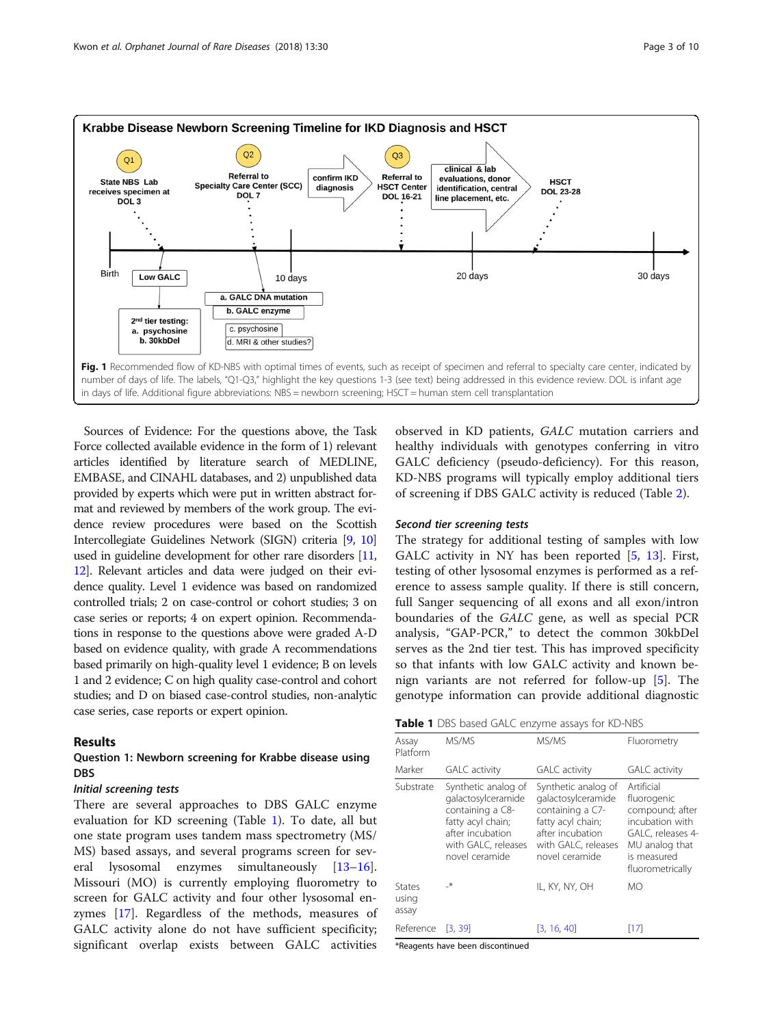<span id="page-2-0"></span>

Sources of Evidence: For the questions above, the Task Force collected available evidence in the form of 1) relevant articles identified by literature search of MEDLINE, EMBASE, and CINAHL databases, and 2) unpublished data provided by experts which were put in written abstract format and reviewed by members of the work group. The evidence review procedures were based on the Scottish Intercollegiate Guidelines Network (SIGN) criteria [\[9,](#page-8-0) [10](#page-8-0)] used in guideline development for other rare disorders [\[11](#page-8-0), [12](#page-8-0)]. Relevant articles and data were judged on their evidence quality. Level 1 evidence was based on randomized controlled trials; 2 on case-control or cohort studies; 3 on case series or reports; 4 on expert opinion. Recommendations in response to the questions above were graded A-D based on evidence quality, with grade A recommendations based primarily on high-quality level 1 evidence; B on levels 1 and 2 evidence; C on high quality case-control and cohort studies; and D on biased case-control studies, non-analytic case series, case reports or expert opinion.

# Results

# Question 1: Newborn screening for Krabbe disease using DBS

#### Initial screening tests

There are several approaches to DBS GALC enzyme evaluation for KD screening (Table 1). To date, all but one state program uses tandem mass spectrometry (MS/ MS) based assays, and several programs screen for several lysosomal enzymes simultaneously [[13](#page-8-0)–[16](#page-8-0)]. Missouri (MO) is currently employing fluorometry to screen for GALC activity and four other lysosomal enzymes [\[17\]](#page-8-0). Regardless of the methods, measures of GALC activity alone do not have sufficient specificity; significant overlap exists between GALC activities

observed in KD patients, GALC mutation carriers and healthy individuals with genotypes conferring in vitro GALC deficiency (pseudo-deficiency). For this reason, KD-NBS programs will typically employ additional tiers of screening if DBS GALC activity is reduced (Table [2](#page-3-0)).

#### Second tier screening tests

The strategy for additional testing of samples with low GALC activity in NY has been reported [\[5](#page-8-0), [13\]](#page-8-0). First, testing of other lysosomal enzymes is performed as a reference to assess sample quality. If there is still concern, full Sanger sequencing of all exons and all exon/intron boundaries of the GALC gene, as well as special PCR analysis, "GAP-PCR," to detect the common 30kbDel serves as the 2nd tier test. This has improved specificity so that infants with low GALC activity and known benign variants are not referred for follow-up [[5](#page-8-0)]. The genotype information can provide additional diagnostic

|  |  |  |  |  | Table 1 DBS based GALC enzyme assays for KD-NBS |  |  |  |  |  |
|--|--|--|--|--|-------------------------------------------------|--|--|--|--|--|
|--|--|--|--|--|-------------------------------------------------|--|--|--|--|--|

| Assay<br>Platform        | MS/MS                                                                                                                                           | MS/MS                                                                                                                                           | Fluorometry                                                                                                                               |
|--------------------------|-------------------------------------------------------------------------------------------------------------------------------------------------|-------------------------------------------------------------------------------------------------------------------------------------------------|-------------------------------------------------------------------------------------------------------------------------------------------|
| Marker                   | <b>GALC</b> activity                                                                                                                            | <b>GALC</b> activity                                                                                                                            | <b>GALC</b> activity                                                                                                                      |
| Substrate                | Synthetic analog of<br>galactosylceramide<br>containing a C8-<br>fatty acyl chain;<br>after incubation<br>with GALC, releases<br>novel ceramide | Synthetic analog of<br>galactosylceramide<br>containing a C7-<br>fatty acyl chain;<br>after incubation<br>with GALC, releases<br>novel ceramide | Artificial<br>fluorogenic<br>compound; after<br>incubation with<br>GALC, releases 4-<br>MU analog that<br>is measured<br>fluorometrically |
| States<br>using<br>assay | $\mathbf{H}$                                                                                                                                    | IL, KY, NY, OH                                                                                                                                  | МO                                                                                                                                        |
| Reference                | [3, 39]                                                                                                                                         | [3, 16, 40]                                                                                                                                     | [17]                                                                                                                                      |

\*Reagents have been discontinued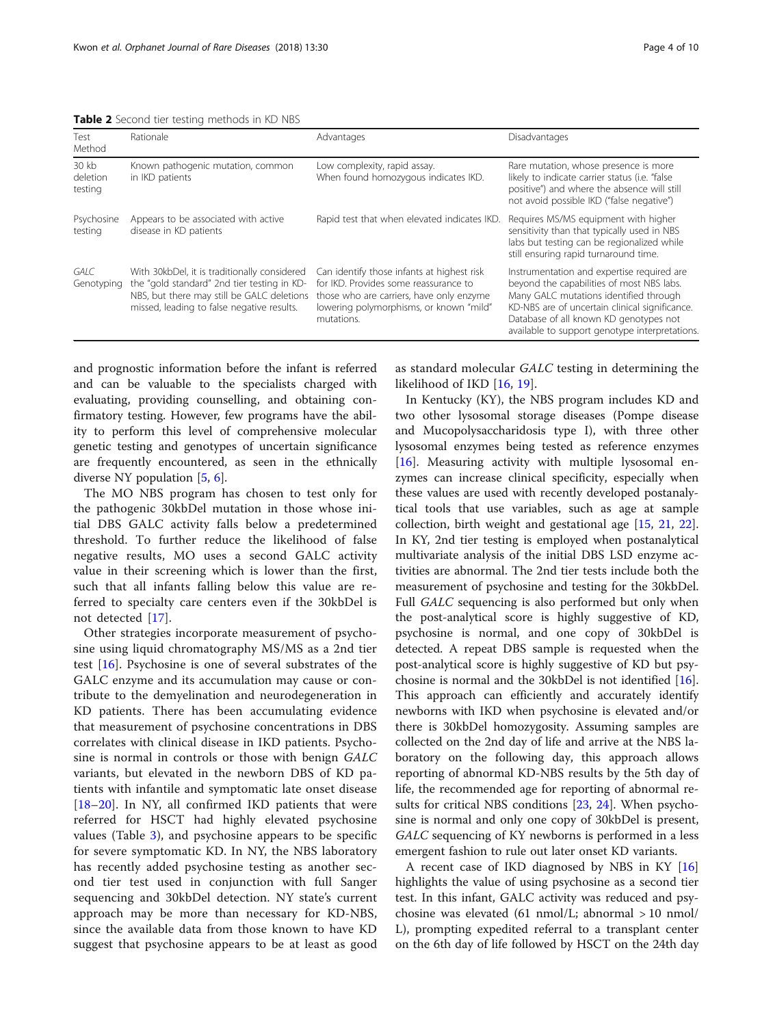<span id="page-3-0"></span>Table 2 Second tier testing methods in KD NBS

| Test<br>Method               | Rationale                                                                                                                                                                               | Advantages                                                                                                                                                                               | Disadvantages                                                                                                                                                                                                                                                                   |
|------------------------------|-----------------------------------------------------------------------------------------------------------------------------------------------------------------------------------------|------------------------------------------------------------------------------------------------------------------------------------------------------------------------------------------|---------------------------------------------------------------------------------------------------------------------------------------------------------------------------------------------------------------------------------------------------------------------------------|
| 30 kb<br>deletion<br>testing | Known pathogenic mutation, common<br>in IKD patients                                                                                                                                    | Low complexity, rapid assay.<br>When found homozygous indicates IKD.                                                                                                                     | Rare mutation, whose presence is more<br>likely to indicate carrier status (i.e. "false<br>positive") and where the absence will still<br>not avoid possible IKD ("false negative")                                                                                             |
| Psychosine<br>testing        | Appears to be associated with active<br>disease in KD patients                                                                                                                          | Rapid test that when elevated indicates IKD.                                                                                                                                             | Requires MS/MS equipment with higher<br>sensitivity than that typically used in NBS<br>labs but testing can be regionalized while<br>still ensuring rapid turnaround time.                                                                                                      |
| GALC<br>Genotyping           | With 30kbDel, it is traditionally considered<br>the "gold standard" 2nd tier testing in KD-<br>NBS, but there may still be GALC deletions<br>missed, leading to false negative results. | Can identify those infants at highest risk<br>for IKD. Provides some reassurance to<br>those who are carriers, have only enzyme<br>lowering polymorphisms, or known "mild"<br>mutations. | Instrumentation and expertise required are<br>beyond the capabilities of most NBS labs.<br>Many GALC mutations identified through<br>KD-NBS are of uncertain clinical significance.<br>Database of all known KD genotypes not<br>available to support genotype interpretations. |

and prognostic information before the infant is referred and can be valuable to the specialists charged with evaluating, providing counselling, and obtaining confirmatory testing. However, few programs have the ability to perform this level of comprehensive molecular genetic testing and genotypes of uncertain significance are frequently encountered, as seen in the ethnically diverse NY population [[5,](#page-8-0) [6\]](#page-8-0).

The MO NBS program has chosen to test only for the pathogenic 30kbDel mutation in those whose initial DBS GALC activity falls below a predetermined threshold. To further reduce the likelihood of false negative results, MO uses a second GALC activity value in their screening which is lower than the first, such that all infants falling below this value are referred to specialty care centers even if the 30kbDel is not detected [[17\]](#page-8-0).

Other strategies incorporate measurement of psychosine using liquid chromatography MS/MS as a 2nd tier test [[16\]](#page-8-0). Psychosine is one of several substrates of the GALC enzyme and its accumulation may cause or contribute to the demyelination and neurodegeneration in KD patients. There has been accumulating evidence that measurement of psychosine concentrations in DBS correlates with clinical disease in IKD patients. Psychosine is normal in controls or those with benign GALC variants, but elevated in the newborn DBS of KD patients with infantile and symptomatic late onset disease [[18](#page-8-0)–[20\]](#page-8-0). In NY, all confirmed IKD patients that were referred for HSCT had highly elevated psychosine values (Table [3\)](#page-4-0), and psychosine appears to be specific for severe symptomatic KD. In NY, the NBS laboratory has recently added psychosine testing as another second tier test used in conjunction with full Sanger sequencing and 30kbDel detection. NY state's current approach may be more than necessary for KD-NBS, since the available data from those known to have KD suggest that psychosine appears to be at least as good

as standard molecular GALC testing in determining the likelihood of IKD [\[16](#page-8-0), [19\]](#page-8-0).

In Kentucky (KY), the NBS program includes KD and two other lysosomal storage diseases (Pompe disease and Mucopolysaccharidosis type I), with three other lysosomal enzymes being tested as reference enzymes [[16\]](#page-8-0). Measuring activity with multiple lysosomal enzymes can increase clinical specificity, especially when these values are used with recently developed postanalytical tools that use variables, such as age at sample collection, birth weight and gestational age [[15,](#page-8-0) [21](#page-8-0), [22](#page-8-0)]. In KY, 2nd tier testing is employed when postanalytical multivariate analysis of the initial DBS LSD enzyme activities are abnormal. The 2nd tier tests include both the measurement of psychosine and testing for the 30kbDel. Full GALC sequencing is also performed but only when the post-analytical score is highly suggestive of KD, psychosine is normal, and one copy of 30kbDel is detected. A repeat DBS sample is requested when the post-analytical score is highly suggestive of KD but psychosine is normal and the 30kbDel is not identified [\[16](#page-8-0)]. This approach can efficiently and accurately identify newborns with IKD when psychosine is elevated and/or there is 30kbDel homozygosity. Assuming samples are collected on the 2nd day of life and arrive at the NBS laboratory on the following day, this approach allows reporting of abnormal KD-NBS results by the 5th day of life, the recommended age for reporting of abnormal results for critical NBS conditions [\[23](#page-8-0), [24\]](#page-8-0). When psychosine is normal and only one copy of 30kbDel is present, GALC sequencing of KY newborns is performed in a less emergent fashion to rule out later onset KD variants.

A recent case of IKD diagnosed by NBS in KY [[16](#page-8-0)] highlights the value of using psychosine as a second tier test. In this infant, GALC activity was reduced and psychosine was elevated (61 nmol/L; abnormal > 10 nmol/ L), prompting expedited referral to a transplant center on the 6th day of life followed by HSCT on the 24th day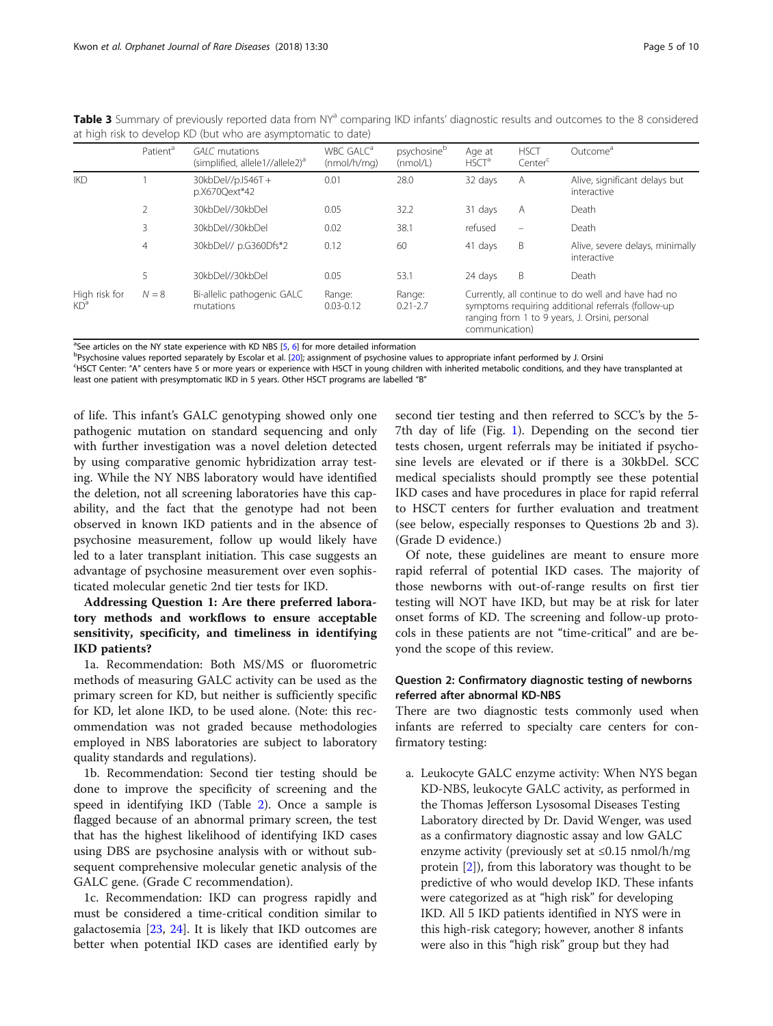|                                  | Patient <sup>a</sup> | GALC mutations<br>(simplified, allele1//allele2) <sup>a</sup> | WBC GALC <sup>a</sup><br>(mmol/h/mq) | psychosineb<br>(mmol/L) | Age at<br>$HSCT^a$                                                                                                                                                           | <b>HSCT</b><br>Center <sup>c</sup> | Outcome <sup>a</sup>                           |
|----------------------------------|----------------------|---------------------------------------------------------------|--------------------------------------|-------------------------|------------------------------------------------------------------------------------------------------------------------------------------------------------------------------|------------------------------------|------------------------------------------------|
| <b>IKD</b>                       |                      | 30kbDel//p.1546T+<br>p.X670Qext*42                            | 0.01                                 | 28.0                    | 32 days                                                                                                                                                                      | A                                  | Alive, significant delays but<br>interactive   |
|                                  | 2                    | 30kbDel//30kbDel                                              | 0.05                                 | 32.2                    | 31 days                                                                                                                                                                      | A                                  | Death                                          |
|                                  | 3                    | 30kbDel//30kbDel                                              | 0.02                                 | 38.1                    | refused                                                                                                                                                                      | $\qquad \qquad -$                  | Death                                          |
|                                  | $\overline{4}$       | 30kbDel// p.G360Dfs*2                                         | 0.12                                 | 60                      | 41 days                                                                                                                                                                      | B                                  | Alive, severe delays, minimally<br>interactive |
|                                  | 5                    | 30kbDel//30kbDel                                              | 0.05                                 | 53.1                    | 24 days                                                                                                                                                                      | B                                  | Death                                          |
| High risk for<br>KD <sup>a</sup> | $N = 8$              | Bi-allelic pathogenic GALC<br>mutations                       | Range:<br>$0.03 - 0.12$              | Range:<br>$0.21 - 2.7$  | Currently, all continue to do well and have had no<br>symptoms requiring additional referrals (follow-up<br>ranging from 1 to 9 years, J. Orsini, personal<br>communication) |                                    |                                                |

<span id="page-4-0"></span>Table 3 Summary of previously reported data from NY<sup>a</sup> comparing IKD infants' diagnostic results and outcomes to the 8 considered at high risk to develop KD (but who are asymptomatic to date)

<sup>a</sup>See articles on the NY state experience with KD NBS [\[5,](#page-8-0) [6\]](#page-8-0) for more detailed information<br><sup>b</sup>Psychosine values reported separately by Escolar et al. [20]: assignment of psychosine values

<sup>b</sup>Psychosine values reported separately by Escolar et al. [\[20](#page-8-0)]; assignment of psychosine values to appropriate infant performed by J. Orsini

HSCT Center: "A" centers have 5 or more years or experience with HSCT in young children with inherited metabolic conditions, and they have transplanted at least one patient with presymptomatic IKD in 5 years. Other HSCT programs are labelled "B"

of life. This infant's GALC genotyping showed only one pathogenic mutation on standard sequencing and only with further investigation was a novel deletion detected by using comparative genomic hybridization array testing. While the NY NBS laboratory would have identified the deletion, not all screening laboratories have this capability, and the fact that the genotype had not been observed in known IKD patients and in the absence of psychosine measurement, follow up would likely have led to a later transplant initiation. This case suggests an advantage of psychosine measurement over even sophisticated molecular genetic 2nd tier tests for IKD.

# Addressing Question 1: Are there preferred laboratory methods and workflows to ensure acceptable sensitivity, specificity, and timeliness in identifying IKD patients?

1a. Recommendation: Both MS/MS or fluorometric methods of measuring GALC activity can be used as the primary screen for KD, but neither is sufficiently specific for KD, let alone IKD, to be used alone. (Note: this recommendation was not graded because methodologies employed in NBS laboratories are subject to laboratory quality standards and regulations).

1b. Recommendation: Second tier testing should be done to improve the specificity of screening and the speed in identifying IKD (Table [2\)](#page-3-0). Once a sample is flagged because of an abnormal primary screen, the test that has the highest likelihood of identifying IKD cases using DBS are psychosine analysis with or without subsequent comprehensive molecular genetic analysis of the GALC gene. (Grade C recommendation).

1c. Recommendation: IKD can progress rapidly and must be considered a time-critical condition similar to galactosemia [[23](#page-8-0), [24\]](#page-8-0). It is likely that IKD outcomes are better when potential IKD cases are identified early by second tier testing and then referred to SCC's by the 5- 7th day of life (Fig. [1](#page-2-0)). Depending on the second tier tests chosen, urgent referrals may be initiated if psychosine levels are elevated or if there is a 30kbDel. SCC medical specialists should promptly see these potential IKD cases and have procedures in place for rapid referral to HSCT centers for further evaluation and treatment (see below, especially responses to Questions 2b and 3). (Grade D evidence.)

Of note, these guidelines are meant to ensure more rapid referral of potential IKD cases. The majority of those newborns with out-of-range results on first tier testing will NOT have IKD, but may be at risk for later onset forms of KD. The screening and follow-up protocols in these patients are not "time-critical" and are beyond the scope of this review.

# Question 2: Confirmatory diagnostic testing of newborns referred after abnormal KD-NBS

There are two diagnostic tests commonly used when infants are referred to specialty care centers for confirmatory testing:

a. Leukocyte GALC enzyme activity: When NYS began KD-NBS, leukocyte GALC activity, as performed in the Thomas Jefferson Lysosomal Diseases Testing Laboratory directed by Dr. David Wenger, was used as a confirmatory diagnostic assay and low GALC enzyme activity (previously set at  $\leq 0.15$  nmol/h/mg protein [\[2](#page-8-0)]), from this laboratory was thought to be predictive of who would develop IKD. These infants were categorized as at "high risk" for developing IKD. All 5 IKD patients identified in NYS were in this high-risk category; however, another 8 infants were also in this "high risk" group but they had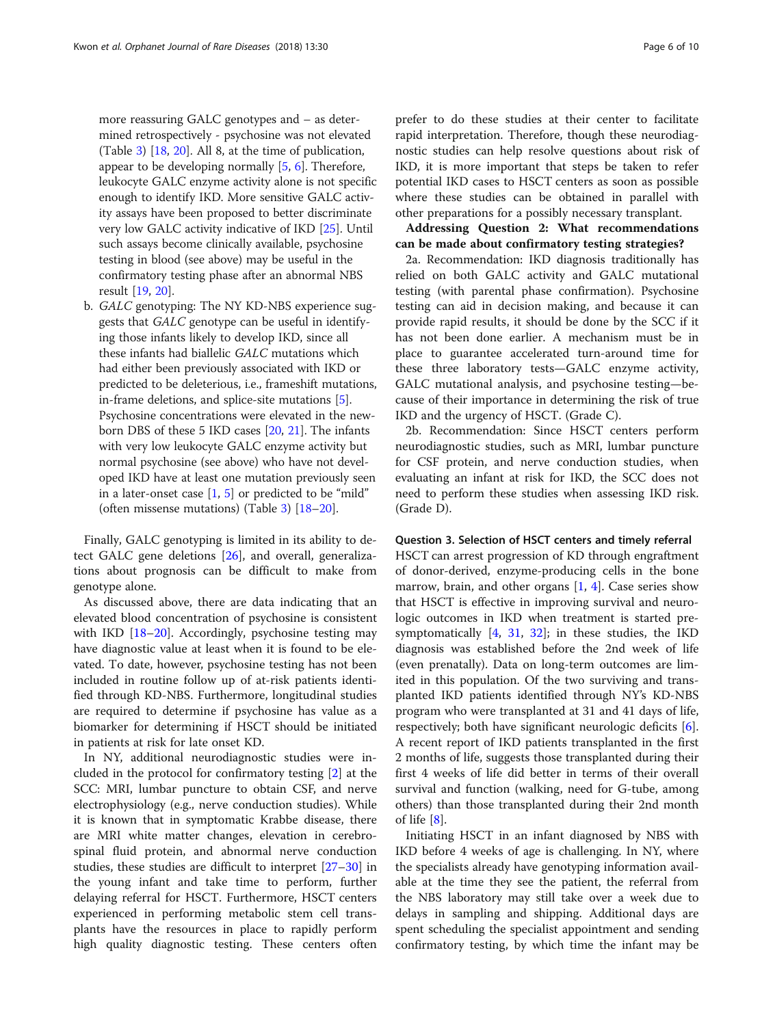more reassuring GALC genotypes and – as determined retrospectively - psychosine was not elevated (Table [3\)](#page-4-0) [[18,](#page-8-0) [20](#page-8-0)]. All 8, at the time of publication, appear to be developing normally [\[5](#page-8-0), [6\]](#page-8-0). Therefore, leukocyte GALC enzyme activity alone is not specific enough to identify IKD. More sensitive GALC activity assays have been proposed to better discriminate very low GALC activity indicative of IKD [\[25\]](#page-8-0). Until such assays become clinically available, psychosine testing in blood (see above) may be useful in the confirmatory testing phase after an abnormal NBS result [[19,](#page-8-0) [20](#page-8-0)].

b. GALC genotyping: The NY KD-NBS experience suggests that GALC genotype can be useful in identifying those infants likely to develop IKD, since all these infants had biallelic GALC mutations which had either been previously associated with IKD or predicted to be deleterious, i.e., frameshift mutations, in-frame deletions, and splice-site mutations [\[5](#page-8-0)]. Psychosine concentrations were elevated in the newborn DBS of these 5 IKD cases [\[20,](#page-8-0) [21](#page-8-0)]. The infants with very low leukocyte GALC enzyme activity but normal psychosine (see above) who have not developed IKD have at least one mutation previously seen in a later-onset case  $[1, 5]$  $[1, 5]$  $[1, 5]$  $[1, 5]$  or predicted to be "mild" (often missense mutations) (Table [3](#page-4-0)) [[18](#page-8-0)–[20\]](#page-8-0).

Finally, GALC genotyping is limited in its ability to detect GALC gene deletions [[26\]](#page-9-0), and overall, generalizations about prognosis can be difficult to make from genotype alone.

As discussed above, there are data indicating that an elevated blood concentration of psychosine is consistent with IKD  $[18–20]$  $[18–20]$  $[18–20]$ . Accordingly, psychosine testing may have diagnostic value at least when it is found to be elevated. To date, however, psychosine testing has not been included in routine follow up of at-risk patients identified through KD-NBS. Furthermore, longitudinal studies are required to determine if psychosine has value as a biomarker for determining if HSCT should be initiated in patients at risk for late onset KD.

In NY, additional neurodiagnostic studies were included in the protocol for confirmatory testing [[2\]](#page-8-0) at the SCC: MRI, lumbar puncture to obtain CSF, and nerve electrophysiology (e.g., nerve conduction studies). While it is known that in symptomatic Krabbe disease, there are MRI white matter changes, elevation in cerebrospinal fluid protein, and abnormal nerve conduction studies, these studies are difficult to interpret [[27](#page-9-0)–[30](#page-9-0)] in the young infant and take time to perform, further delaying referral for HSCT. Furthermore, HSCT centers experienced in performing metabolic stem cell transplants have the resources in place to rapidly perform high quality diagnostic testing. These centers often prefer to do these studies at their center to facilitate rapid interpretation. Therefore, though these neurodiagnostic studies can help resolve questions about risk of IKD, it is more important that steps be taken to refer potential IKD cases to HSCT centers as soon as possible where these studies can be obtained in parallel with other preparations for a possibly necessary transplant.

Addressing Question 2: What recommendations can be made about confirmatory testing strategies?

2a. Recommendation: IKD diagnosis traditionally has relied on both GALC activity and GALC mutational testing (with parental phase confirmation). Psychosine testing can aid in decision making, and because it can provide rapid results, it should be done by the SCC if it has not been done earlier. A mechanism must be in place to guarantee accelerated turn-around time for these three laboratory tests—GALC enzyme activity, GALC mutational analysis, and psychosine testing—because of their importance in determining the risk of true IKD and the urgency of HSCT. (Grade C).

2b. Recommendation: Since HSCT centers perform neurodiagnostic studies, such as MRI, lumbar puncture for CSF protein, and nerve conduction studies, when evaluating an infant at risk for IKD, the SCC does not need to perform these studies when assessing IKD risk. (Grade D).

#### Question 3. Selection of HSCT centers and timely referral

HSCT can arrest progression of KD through engraftment of donor-derived, enzyme-producing cells in the bone marrow, brain, and other organs [\[1](#page-8-0), [4\]](#page-8-0). Case series show that HSCT is effective in improving survival and neurologic outcomes in IKD when treatment is started presymptomatically [\[4](#page-8-0), [31](#page-9-0), [32](#page-9-0)]; in these studies, the IKD diagnosis was established before the 2nd week of life (even prenatally). Data on long-term outcomes are limited in this population. Of the two surviving and transplanted IKD patients identified through NY's KD-NBS program who were transplanted at 31 and 41 days of life, respectively; both have significant neurologic deficits [\[6](#page-8-0)]. A recent report of IKD patients transplanted in the first 2 months of life, suggests those transplanted during their first 4 weeks of life did better in terms of their overall survival and function (walking, need for G-tube, among others) than those transplanted during their 2nd month of life  $[8]$  $[8]$ .

Initiating HSCT in an infant diagnosed by NBS with IKD before 4 weeks of age is challenging. In NY, where the specialists already have genotyping information available at the time they see the patient, the referral from the NBS laboratory may still take over a week due to delays in sampling and shipping. Additional days are spent scheduling the specialist appointment and sending confirmatory testing, by which time the infant may be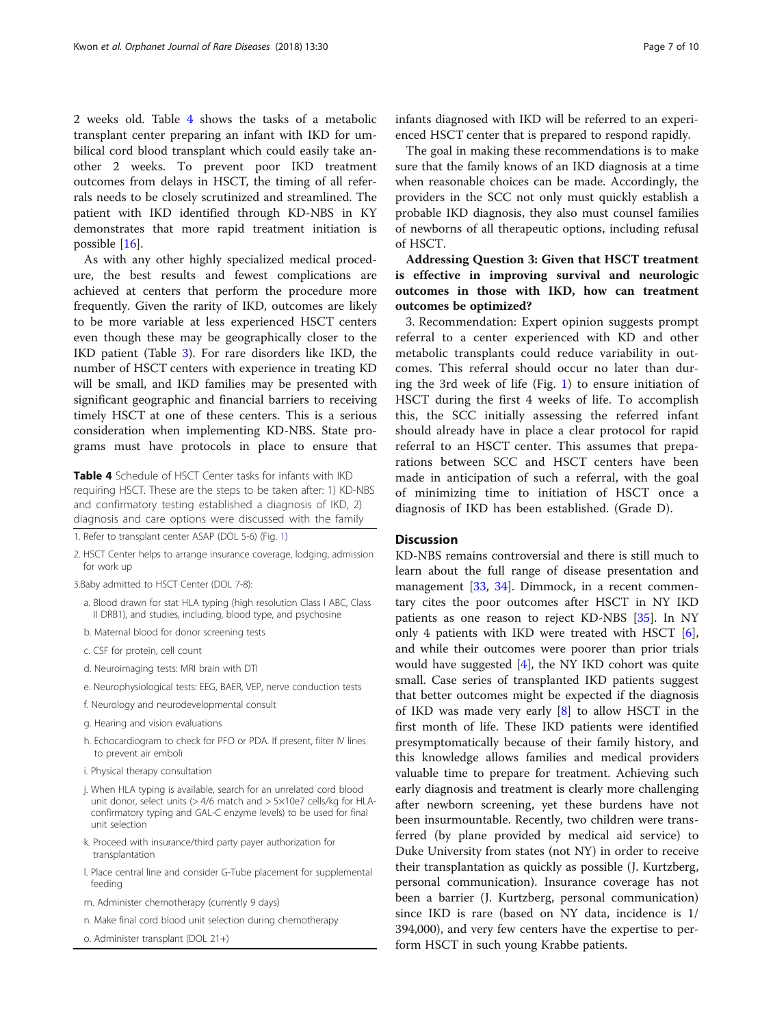2 weeks old. Table 4 shows the tasks of a metabolic transplant center preparing an infant with IKD for umbilical cord blood transplant which could easily take another 2 weeks. To prevent poor IKD treatment outcomes from delays in HSCT, the timing of all referrals needs to be closely scrutinized and streamlined. The patient with IKD identified through KD-NBS in KY demonstrates that more rapid treatment initiation is possible [\[16](#page-8-0)].

As with any other highly specialized medical procedure, the best results and fewest complications are achieved at centers that perform the procedure more frequently. Given the rarity of IKD, outcomes are likely to be more variable at less experienced HSCT centers even though these may be geographically closer to the IKD patient (Table [3](#page-4-0)). For rare disorders like IKD, the number of HSCT centers with experience in treating KD will be small, and IKD families may be presented with significant geographic and financial barriers to receiving timely HSCT at one of these centers. This is a serious consideration when implementing KD-NBS. State programs must have protocols in place to ensure that

Table 4 Schedule of HSCT Center tasks for infants with IKD requiring HSCT. These are the steps to be taken after: 1) KD-NBS and confirmatory testing established a diagnosis of IKD, 2) diagnosis and care options were discussed with the family

1. Refer to transplant center ASAP (DOL 5-6) (Fig. [1\)](#page-2-0)

2. HSCT Center helps to arrange insurance coverage, lodging, admission for work up

3.Baby admitted to HSCT Center (DOL 7-8):

- a. Blood drawn for stat HLA typing (high resolution Class I ABC, Class II DRB1), and studies, including, blood type, and psychosine
- b. Maternal blood for donor screening tests
- c. CSF for protein, cell count
- d. Neuroimaging tests: MRI brain with DTI
- e. Neurophysiological tests: EEG, BAER, VEP, nerve conduction tests
- f. Neurology and neurodevelopmental consult
- g. Hearing and vision evaluations
- h. Echocardiogram to check for PFO or PDA. If present, filter IV lines to prevent air emboli
- i. Physical therapy consultation
- j. When HLA typing is available, search for an unrelated cord blood unit donor, select units (> 4/6 match and > 5×10e7 cells/kg for HLAconfirmatory typing and GAL-C enzyme levels) to be used for final unit selection
- k. Proceed with insurance/third party payer authorization for transplantation
- l. Place central line and consider G-Tube placement for supplemental feeding
- m. Administer chemotherapy (currently 9 days)
- n. Make final cord blood unit selection during chemotherapy
- o. Administer transplant (DOL 21+)

infants diagnosed with IKD will be referred to an experienced HSCT center that is prepared to respond rapidly.

The goal in making these recommendations is to make sure that the family knows of an IKD diagnosis at a time when reasonable choices can be made. Accordingly, the providers in the SCC not only must quickly establish a probable IKD diagnosis, they also must counsel families of newborns of all therapeutic options, including refusal of HSCT.

Addressing Question 3: Given that HSCT treatment is effective in improving survival and neurologic outcomes in those with IKD, how can treatment outcomes be optimized?

3. Recommendation: Expert opinion suggests prompt referral to a center experienced with KD and other metabolic transplants could reduce variability in outcomes. This referral should occur no later than during the 3rd week of life (Fig. [1\)](#page-2-0) to ensure initiation of HSCT during the first 4 weeks of life. To accomplish this, the SCC initially assessing the referred infant should already have in place a clear protocol for rapid referral to an HSCT center. This assumes that preparations between SCC and HSCT centers have been made in anticipation of such a referral, with the goal of minimizing time to initiation of HSCT once a diagnosis of IKD has been established. (Grade D).

#### **Discussion**

KD-NBS remains controversial and there is still much to learn about the full range of disease presentation and management [[33,](#page-9-0) [34](#page-9-0)]. Dimmock, in a recent commentary cites the poor outcomes after HSCT in NY IKD patients as one reason to reject KD-NBS [\[35](#page-9-0)]. In NY only 4 patients with IKD were treated with HSCT [\[6](#page-8-0)], and while their outcomes were poorer than prior trials would have suggested [\[4](#page-8-0)], the NY IKD cohort was quite small. Case series of transplanted IKD patients suggest that better outcomes might be expected if the diagnosis of IKD was made very early [\[8](#page-8-0)] to allow HSCT in the first month of life. These IKD patients were identified presymptomatically because of their family history, and this knowledge allows families and medical providers valuable time to prepare for treatment. Achieving such early diagnosis and treatment is clearly more challenging after newborn screening, yet these burdens have not been insurmountable. Recently, two children were transferred (by plane provided by medical aid service) to Duke University from states (not NY) in order to receive their transplantation as quickly as possible (J. Kurtzberg, personal communication). Insurance coverage has not been a barrier (J. Kurtzberg, personal communication) since IKD is rare (based on NY data, incidence is 1/ 394,000), and very few centers have the expertise to perform HSCT in such young Krabbe patients.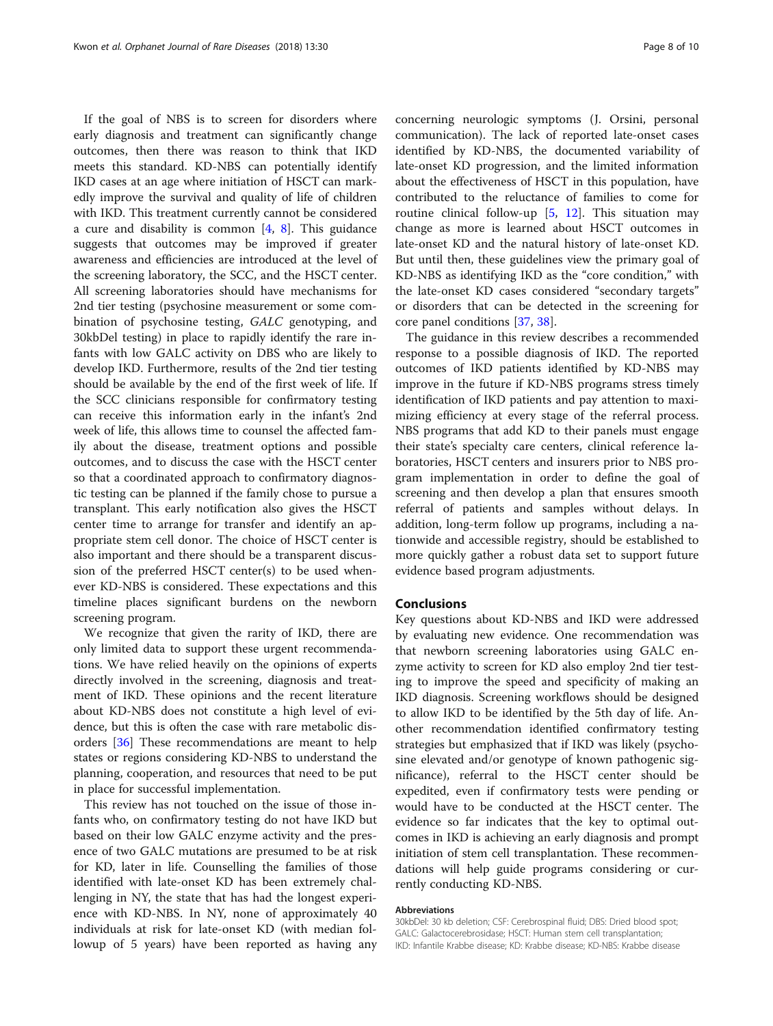If the goal of NBS is to screen for disorders where early diagnosis and treatment can significantly change outcomes, then there was reason to think that IKD meets this standard. KD-NBS can potentially identify IKD cases at an age where initiation of HSCT can markedly improve the survival and quality of life of children with IKD. This treatment currently cannot be considered a cure and disability is common [[4](#page-8-0), [8](#page-8-0)]. This guidance suggests that outcomes may be improved if greater awareness and efficiencies are introduced at the level of the screening laboratory, the SCC, and the HSCT center. All screening laboratories should have mechanisms for 2nd tier testing (psychosine measurement or some combination of psychosine testing, GALC genotyping, and 30kbDel testing) in place to rapidly identify the rare infants with low GALC activity on DBS who are likely to develop IKD. Furthermore, results of the 2nd tier testing should be available by the end of the first week of life. If the SCC clinicians responsible for confirmatory testing can receive this information early in the infant's 2nd week of life, this allows time to counsel the affected family about the disease, treatment options and possible outcomes, and to discuss the case with the HSCT center so that a coordinated approach to confirmatory diagnostic testing can be planned if the family chose to pursue a transplant. This early notification also gives the HSCT center time to arrange for transfer and identify an appropriate stem cell donor. The choice of HSCT center is also important and there should be a transparent discussion of the preferred HSCT center(s) to be used whenever KD-NBS is considered. These expectations and this timeline places significant burdens on the newborn screening program.

We recognize that given the rarity of IKD, there are only limited data to support these urgent recommendations. We have relied heavily on the opinions of experts directly involved in the screening, diagnosis and treatment of IKD. These opinions and the recent literature about KD-NBS does not constitute a high level of evidence, but this is often the case with rare metabolic disorders [[36\]](#page-9-0) These recommendations are meant to help states or regions considering KD-NBS to understand the planning, cooperation, and resources that need to be put in place for successful implementation.

This review has not touched on the issue of those infants who, on confirmatory testing do not have IKD but based on their low GALC enzyme activity and the presence of two GALC mutations are presumed to be at risk for KD, later in life. Counselling the families of those identified with late-onset KD has been extremely challenging in NY, the state that has had the longest experience with KD-NBS. In NY, none of approximately 40 individuals at risk for late-onset KD (with median followup of 5 years) have been reported as having any concerning neurologic symptoms (J. Orsini, personal communication). The lack of reported late-onset cases identified by KD-NBS, the documented variability of late-onset KD progression, and the limited information about the effectiveness of HSCT in this population, have contributed to the reluctance of families to come for routine clinical follow-up  $[5, 12]$  $[5, 12]$  $[5, 12]$  $[5, 12]$  $[5, 12]$ . This situation may change as more is learned about HSCT outcomes in late-onset KD and the natural history of late-onset KD. But until then, these guidelines view the primary goal of KD-NBS as identifying IKD as the "core condition," with the late-onset KD cases considered "secondary targets" or disorders that can be detected in the screening for core panel conditions [\[37,](#page-9-0) [38\]](#page-9-0).

The guidance in this review describes a recommended response to a possible diagnosis of IKD. The reported outcomes of IKD patients identified by KD-NBS may improve in the future if KD-NBS programs stress timely identification of IKD patients and pay attention to maximizing efficiency at every stage of the referral process. NBS programs that add KD to their panels must engage their state's specialty care centers, clinical reference laboratories, HSCT centers and insurers prior to NBS program implementation in order to define the goal of screening and then develop a plan that ensures smooth referral of patients and samples without delays. In addition, long-term follow up programs, including a nationwide and accessible registry, should be established to more quickly gather a robust data set to support future evidence based program adjustments.

## Conclusions

Key questions about KD-NBS and IKD were addressed by evaluating new evidence. One recommendation was that newborn screening laboratories using GALC enzyme activity to screen for KD also employ 2nd tier testing to improve the speed and specificity of making an IKD diagnosis. Screening workflows should be designed to allow IKD to be identified by the 5th day of life. Another recommendation identified confirmatory testing strategies but emphasized that if IKD was likely (psychosine elevated and/or genotype of known pathogenic significance), referral to the HSCT center should be expedited, even if confirmatory tests were pending or would have to be conducted at the HSCT center. The evidence so far indicates that the key to optimal outcomes in IKD is achieving an early diagnosis and prompt initiation of stem cell transplantation. These recommendations will help guide programs considering or currently conducting KD-NBS.

#### Abbreviations

30kbDel: 30 kb deletion; CSF: Cerebrospinal fluid; DBS: Dried blood spot; GALC: Galactocerebrosidase; HSCT: Human stem cell transplantation; IKD: Infantile Krabbe disease; KD: Krabbe disease; KD-NBS: Krabbe disease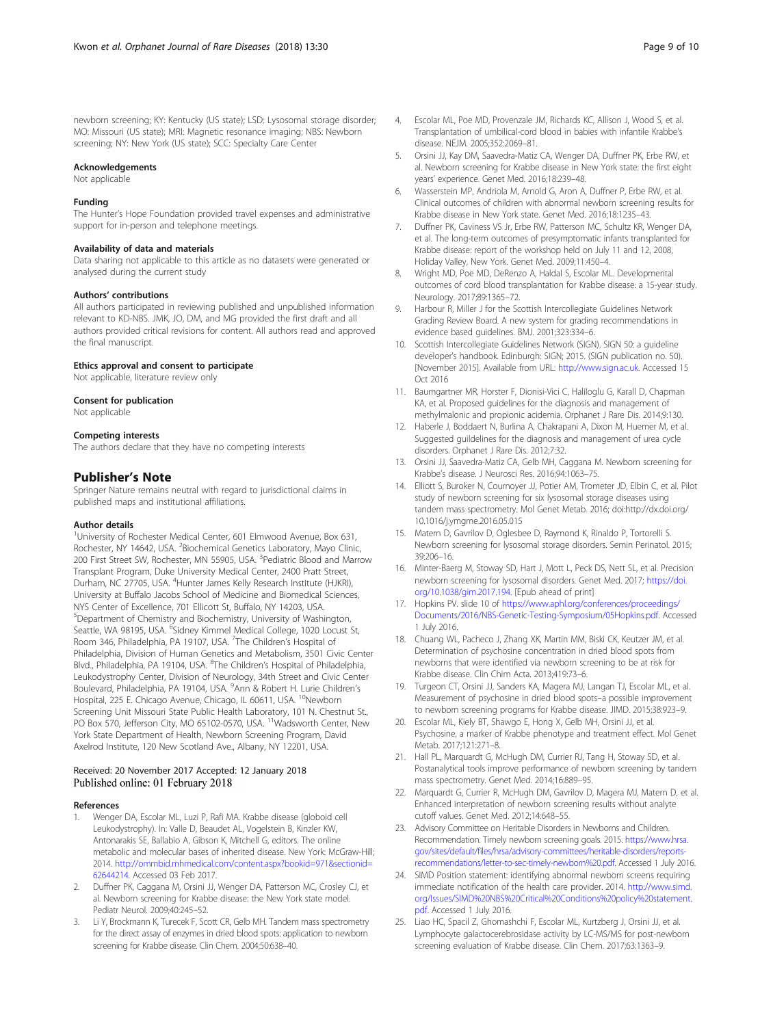<span id="page-8-0"></span>newborn screening; KY: Kentucky (US state); LSD: Lysosomal storage disorder; MO: Missouri (US state); MRI: Magnetic resonance imaging; NBS: Newborn screening; NY: New York (US state); SCC: Specialty Care Center

#### Acknowledgements

Not applicable

#### Funding

The Hunter's Hope Foundation provided travel expenses and administrative support for in-person and telephone meetings.

#### Availability of data and materials

Data sharing not applicable to this article as no datasets were generated or analysed during the current study

#### Authors' contributions

All authors participated in reviewing published and unpublished information relevant to KD-NBS. JMK, JO, DM, and MG provided the first draft and all authors provided critical revisions for content. All authors read and approved the final manuscript.

#### Ethics approval and consent to participate

Not applicable, literature review only

#### Consent for publication

Not applicable

#### Competing interests

The authors declare that they have no competing interests

### Publisher's Note

Springer Nature remains neutral with regard to jurisdictional claims in published maps and institutional affiliations.

#### Author details

<sup>1</sup>University of Rochester Medical Center, 601 Elmwood Avenue, Box 631, Rochester, NY 14642, USA. <sup>2</sup>Biochemical Genetics Laboratory, Mayo Clinic, 200 First Street SW, Rochester, MN 55905, USA. <sup>3</sup>Pediatric Blood and Marrow Transplant Program, Duke University Medical Center, 2400 Pratt Street, Durham, NC 27705, USA. <sup>4</sup>Hunter James Kelly Research Institute (HJKRI), University at Buffalo Jacobs School of Medicine and Biomedical Sciences, NYS Center of Excellence, 701 Ellicott St, Buffalo, NY 14203, USA. 5 Department of Chemistry and Biochemistry, University of Washington, Seattle, WA 98195, USA. <sup>6</sup>Sidney Kimmel Medical College, 1020 Locust St, Room 346, Philadelphia, PA 19107, USA. <sup>7</sup>The Children's Hospital of Philadelphia, Division of Human Genetics and Metabolism, 3501 Civic Center Blvd., Philadelphia, PA 19104, USA. <sup>8</sup>The Children's Hospital of Philadelphia, Leukodystrophy Center, Division of Neurology, 34th Street and Civic Center Boulevard, Philadelphia, PA 19104, USA. <sup>9</sup>Ann & Robert H. Lurie Children's Hospital, 225 E. Chicago Avenue, Chicago, IL 60611, USA. <sup>10</sup>Newborn Screening Unit Missouri State Public Health Laboratory, 101 N. Chestnut St., PO Box 570, Jefferson City, MO 65102-0570, USA. <sup>11</sup>Wadsworth Center, New York State Department of Health, Newborn Screening Program, David Axelrod Institute, 120 New Scotland Ave., Albany, NY 12201, USA.

#### Received: 20 November 2017 Accepted: 12 January 2018 Published online: 01 February 2018

#### References

- 1. Wenger DA, Escolar ML, Luzi P, Rafi MA. Krabbe disease (globoid cell Leukodystrophy). In: Valle D, Beaudet AL, Vogelstein B, Kinzler KW, Antonarakis SE, Ballabio A, Gibson K, Mitchell G, editors. The online metabolic and molecular bases of inherited disease. New York: McGraw-Hill; 2014. [http://ommbid.mhmedical.com/content.aspx?bookid=971&sectionid=](http://ommbid.mhmedical.com/content.aspx?bookid=971§ionid=62644214) [62644214.](http://ommbid.mhmedical.com/content.aspx?bookid=971§ionid=62644214) Accessed 03 Feb 2017.
- 2. Duffner PK, Caggana M, Orsini JJ, Wenger DA, Patterson MC, Crosley CJ, et al. Newborn screening for Krabbe disease: the New York state model. Pediatr Neurol. 2009;40:245–52.
- Li Y, Brockmann K, Turecek F, Scott CR, Gelb MH. Tandem mass spectrometry for the direct assay of enzymes in dried blood spots: application to newborn screening for Krabbe disease. Clin Chem. 2004;50:638–40.
- 4. Escolar ML, Poe MD, Provenzale JM, Richards KC, Allison J, Wood S, et al. Transplantation of umbilical-cord blood in babies with infantile Krabbe's disease. NEJM. 2005;352:2069–81.
- 5. Orsini JJ, Kay DM, Saavedra-Matiz CA, Wenger DA, Duffner PK, Erbe RW, et al. Newborn screening for Krabbe disease in New York state: the first eight years' experience. Genet Med. 2016;18:239–48.
- 6. Wasserstein MP, Andriola M, Arnold G, Aron A, Duffner P, Erbe RW, et al. Clinical outcomes of children with abnormal newborn screening results for Krabbe disease in New York state. Genet Med. 2016;18:1235–43.
- 7. Duffner PK, Caviness VS Jr, Erbe RW, Patterson MC, Schultz KR, Wenger DA, et al. The long-term outcomes of presymptomatic infants transplanted for Krabbe disease: report of the workshop held on July 11 and 12, 2008, Holiday Valley, New York. Genet Med. 2009;11:450–4.
- 8. Wright MD, Poe MD, DeRenzo A, Haldal S, Escolar ML. Developmental outcomes of cord blood transplantation for Krabbe disease: a 15-year study. Neurology. 2017;89:1365–72.
- 9. Harbour R, Miller J for the Scottish Intercollegiate Guidelines Network Grading Review Board. A new system for grading recommendations in evidence based guidelines. BMJ. 2001;323:334–6.
- 10. Scottish Intercollegiate Guidelines Network (SIGN). SIGN 50: a guideline developer's handbook. Edinburgh: SIGN; 2015. (SIGN publication no. 50). [November 2015]. Available from URL: [http://www.sign.ac.uk.](http://www.sign.ac.uk) Accessed 15 Oct 2016
- 11. Baumgartner MR, Horster F, Dionisi-Vici C, Haliloglu G, Karall D, Chapman KA, et al. Proposed guidelines for the diagnosis and management of methylmalonic and propionic acidemia. Orphanet J Rare Dis. 2014;9:130.
- 12. Haberle J, Boddaert N, Burlina A, Chakrapani A, Dixon M, Huemer M, et al. Suggested guildelines for the diagnosis and management of urea cycle disorders. Orphanet J Rare Dis. 2012;7:32.
- 13. Orsini JJ, Saavedra-Matiz CA, Gelb MH, Caggana M. Newborn screening for Krabbe's disease. J Neurosci Res. 2016;94:1063–75.
- 14. Elliott S, Buroker N, Cournoyer JJ, Potier AM, Trometer JD, Elbin C, et al. Pilot study of newborn screening for six lysosomal storage diseases using tandem mass spectrometry. Mol Genet Metab. 2016; doi:http://dx.doi.org/ 10.1016/j.ymgme.2016.05.015
- 15. Matern D, Gavrilov D, Oglesbee D, Raymond K, Rinaldo P, Tortorelli S. Newborn screening for lysosomal storage disorders. Semin Perinatol. 2015; 39:206–16.
- 16. Minter-Baerg M, Stoway SD, Hart J, Mott L, Peck DS, Nett SL, et al. Precision newborn screening for lysosomal disorders. Genet Med. 2017; [https://doi.](http://dx.doi.org/10.1038/gim.2017.194) [org/10.1038/gim.2017.194](http://dx.doi.org/10.1038/gim.2017.194). [Epub ahead of print]
- 17. Hopkins PV. slide 10 of [https://www.aphl.org/conferences/proceedings/](https://www.aphl.org/conferences/proceedings/Documents/2016/NBS-Genetic-Testing-Symposium/05Hopkins.pdf) [Documents/2016/NBS-Genetic-Testing-Symposium/05Hopkins.pdf](https://www.aphl.org/conferences/proceedings/Documents/2016/NBS-Genetic-Testing-Symposium/05Hopkins.pdf). Accessed 1 July 2016.
- 18. Chuang WL, Pacheco J, Zhang XK, Martin MM, Biski CK, Keutzer JM, et al. Determination of psychosine concentration in dried blood spots from newborns that were identified via newborn screening to be at risk for Krabbe disease. Clin Chim Acta. 2013;419:73–6.
- 19. Turgeon CT, Orsini JJ, Sanders KA, Magera MJ, Langan TJ, Escolar ML, et al. Measurement of psychosine in dried blood spots–a possible improvement to newborn screening programs for Krabbe disease. JIMD. 2015;38:923–9.
- 20. Escolar ML, Kiely BT, Shawgo E, Hong X, Gelb MH, Orsini JJ, et al. Psychosine, a marker of Krabbe phenotype and treatment effect. Mol Genet Metab. 2017;121:271–8.
- 21. Hall PL, Marquardt G, McHugh DM, Currier RJ, Tang H, Stoway SD, et al. Postanalytical tools improve performance of newborn screening by tandem mass spectrometry. Genet Med. 2014;16:889–95.
- 22. Marquardt G, Currier R, McHugh DM, Gavrilov D, Magera MJ, Matern D, et al. Enhanced interpretation of newborn screening results without analyte cutoff values. Genet Med. 2012;14:648–55.
- 23. Advisory Committee on Heritable Disorders in Newborns and Children. Recommendation. Timely newborn screening goals. 2015. [https://www.hrsa.](https://www.hrsa.gov/sites/default/files/hrsa/advisory-committees/heritable-disorders/reports-recommendations/letter-to-sec-timely-newborn%20.pdf) [gov/sites/default/files/hrsa/advisory-committees/heritable-disorders/reports](https://www.hrsa.gov/sites/default/files/hrsa/advisory-committees/heritable-disorders/reports-recommendations/letter-to-sec-timely-newborn%20.pdf)[recommendations/letter-to-sec-timely-newborn%20.pdf.](https://www.hrsa.gov/sites/default/files/hrsa/advisory-committees/heritable-disorders/reports-recommendations/letter-to-sec-timely-newborn%20.pdf) Accessed 1 July 2016.
- 24. SIMD Position statement: identifying abnormal newborn screens requiring immediate notification of the health care provider. 2014. [http://www.simd.](http://www.simd.org/Issues/SIMD%20NBS%20Critical%20Conditions%20policy%20statement.pdf) [org/Issues/SIMD%20NBS%20Critical%20Conditions%20policy%20statement.](http://www.simd.org/Issues/SIMD%20NBS%20Critical%20Conditions%20policy%20statement.pdf) [pdf](http://www.simd.org/Issues/SIMD%20NBS%20Critical%20Conditions%20policy%20statement.pdf). Accessed 1 July 2016.
- 25. Liao HC, Spacil Z, Ghomashchi F, Escolar ML, Kurtzberg J, Orsini JJ, et al. Lymphocyte galactocerebrosidase activity by LC-MS/MS for post-newborn screening evaluation of Krabbe disease. Clin Chem. 2017;63:1363–9.